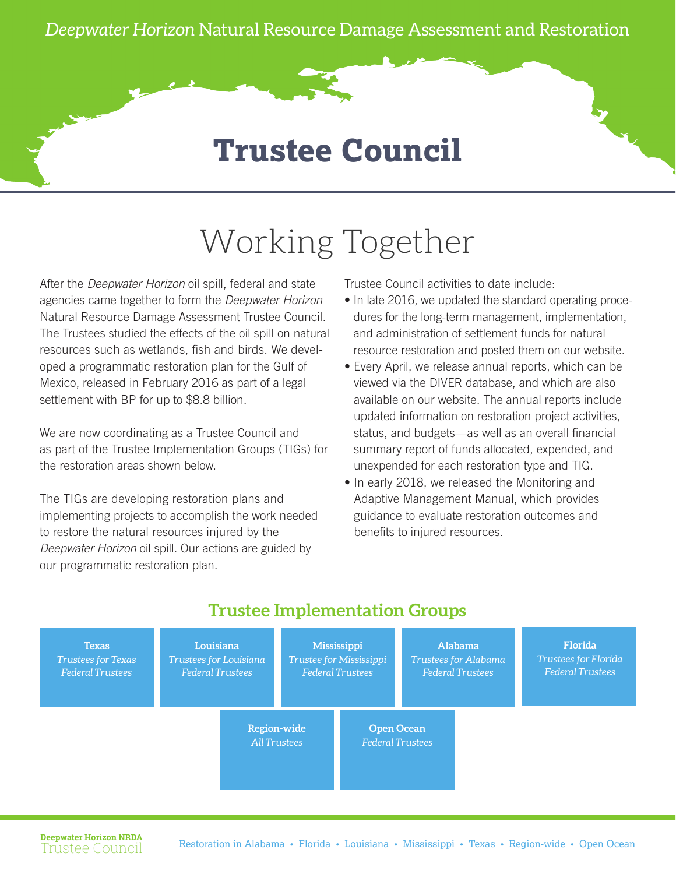## **Trustee Council**

## Working Together

After the *Deepwater Horizon* oil spill, federal and state agencies came together to form the *Deepwater Horizon* Natural Resource Damage Assessment Trustee Council. The Trustees studied the effects of the oil spill on natural resources such as wetlands, fish and birds. We developed [a programmatic restoration plan](http://www.gulfspillrestoration.noaa.gov/how-we-restore) for the Gulf of Mexico, released in February 2016 as part of a legal settlement with BP for up to \$8.8 billion.

We are now coordinating as a Trustee Council and as part of the Trustee Implementation Groups (TIGs) for the restoration areas shown below.

The TIGs are developing restoration plans and implementing projects to accomplish the work needed to restore the natural resources injured by the *Deepwater Horizon* oil spill. Our actions are guided by our programmatic restoration plan.

Trustee Council activities to date include:

- In late 2016, we updated the standard operating procedures for the long-term management, implementation, and administration of settlement funds for natural resource restoration and posted them on our website.
- Every April, we release annual reports, which can be viewed via the DIVER database, and which are also available on our website. The annual reports include updated information on restoration project activities, status, and budgets—as well as an overall financial summary report of funds allocated, expended, and unexpended for each restoration type and TIG.
- In early 2018, we released the Monitoring and Adaptive Management Manual, which provides guidance to evaluate restoration outcomes and benefits to injured resources.



## **Trustee Implementation Groups**